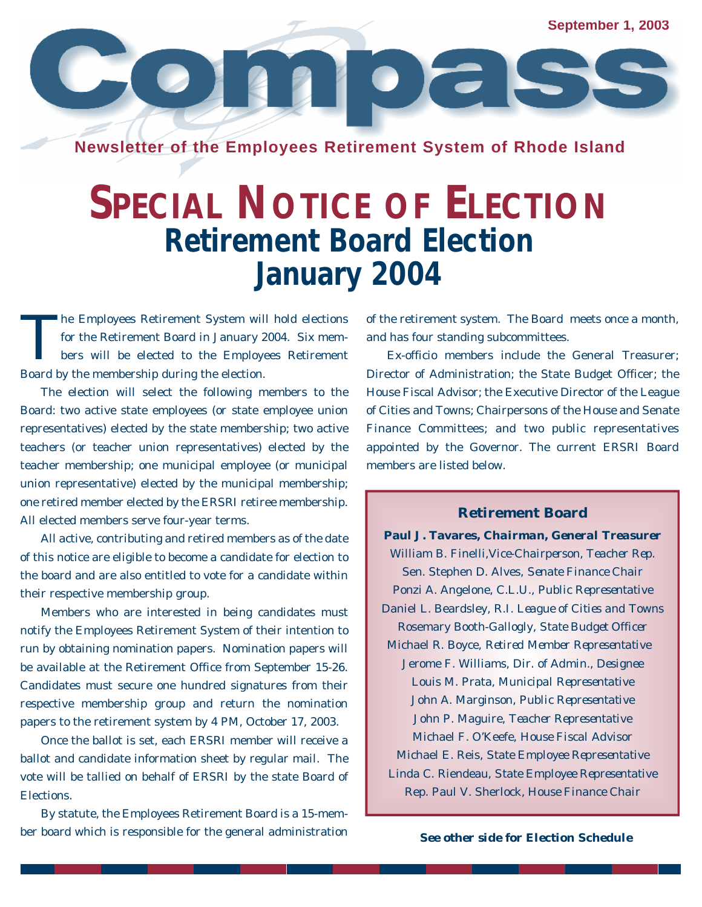**September 1, 2003**

**Newsletter of the Employees Retirement System of Rhode Island**

 $\bullet$   $\geq$   $\geq$ 

## **SPECIAL NOTICE OF ELECTION Retirement Board Election January 2004**

T he Employees Retirement System will hold elections for the Retirement Board in January 2004. Six members will be elected to the Employees Retirement Board by the membership during the election.

The election will select the following members to the Board: two active state employees (or state employee union representatives) elected by the state membership; two active teachers (or teacher union representatives) elected by the teacher membership; one municipal employee (or municipal union representative) elected by the municipal membership; one retired member elected by the ERSRI retiree membership. All elected members serve four-year terms.

All active, contributing and retired members as of the date of this notice are eligible to become a candidate for election to the board and are also entitled to vote for a candidate within their respective membership group.

Members who are interested in being candidates must notify the Employees Retirement System of their intention to run by obtaining nomination papers. Nomination papers will be available at the Retirement Office from September 15-26. Candidates must secure one hundred signatures from their respective membership group and return the nomination papers to the retirement system by 4 PM, October 17, 2003.

Once the ballot is set, each ERSRI member will receive a ballot and candidate information sheet by regular mail. The vote will be tallied on behalf of ERSRI by the state Board of Elections.

By statute, the Employees Retirement Board is a 15-member board which is responsible for the general administration *See other side for Election Schedule*

of the retirement system. The Board meets once a month, and has four standing subcommittees.

Ex-officio members include the General Treasurer; Director of Administration; the State Budget Officer; the House Fiscal Advisor; the Executive Director of the League of Cities and Towns; Chairpersons of the House and Senate Finance Committees; and two public representatives appointed by the Governor. The current ERSRI Board members are listed below.

## **Retirement Board**

**Paul J. Tavares,** *Chairman, General Treasurer* William B. Finelli,*Vice-Chairperson, Teacher Rep.* Sen. Stephen D. Alves, *Senate Finance Chair* Ponzi A. Angelone, *C.L.U., Public Representative* Daniel L. Beardsley, *R.I. League of Cities and Towns* Rosemary Booth-Gallogly, *State Budget Officer*  Michael R. Boyce, *Retired Member Representative* Jerome F. Williams, *Dir. of Admin., Designee* Louis M. Prata, *Municipal Representative* John A. Marginson, *Public Representative* John P. Maguire, *Teacher Representative* Michael F. O'Keefe, *House Fiscal Advisor* Michael E. Reis, *State Employee Representative* Linda C. Riendeau, *State Employee Representative* Rep. Paul V. Sherlock, *House Finance Chair*